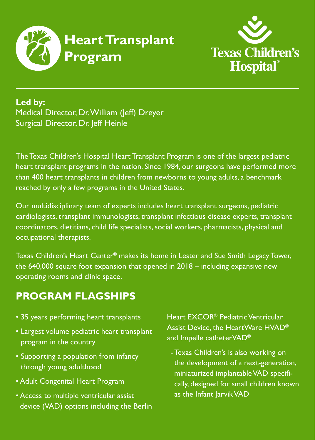



**Led by:** Medical Director, Dr. William (Jeff) Dreyer Surgical Director, Dr. Jeff Heinle

The Texas Children's Hospital Heart Transplant Program is one of the largest pediatric heart transplant programs in the nation. Since 1984, our surgeons have performed more than 400 heart transplants in children from newborns to young adults, a benchmark reached by only a few programs in the United States.

Our multidisciplinary team of experts includes heart transplant surgeons, pediatric cardiologists, transplant immunologists, transplant infectious disease experts, transplant coordinators, dietitians, child life specialists, social workers, pharmacists, physical and occupational therapists.

Texas Children's Heart Center® makes its home in Lester and Sue Smith Legacy Tower, the 640,000 square foot expansion that opened in 2018 – including expansive new operating rooms and clinic space.

## **PROGRAM FLAGSHIPS**

- 35 years performing heart transplants
- Largest volume pediatric heart transplant program in the country
- Supporting a population from infancy through young adulthood
- Adult Congenital Heart Program
- Access to multiple ventricular assist device (VAD) options including the Berlin

Heart EXCOR® Pediatric Ventricular Assist Device, the HeartWare HVAD® and Impelle catheterVAD®

- Texas Children's is also working on the development of a next-generation, miniaturized implantable VAD specifically, designed for small children known as the Infant Jarvik VAD